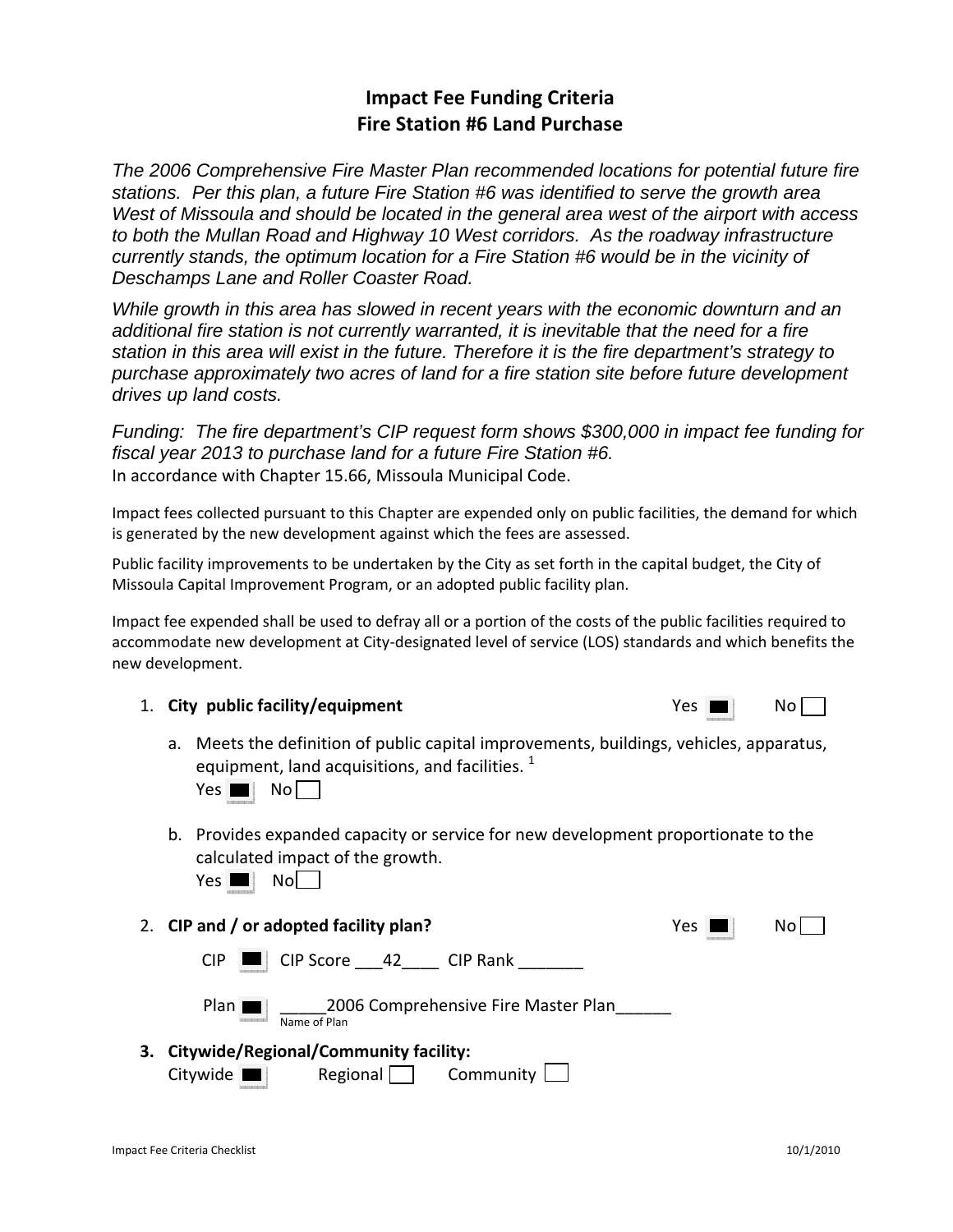### **Impact Fee Funding Criteria Fire Station #6 Land Purchase**

*The 2006 Comprehensive Fire Master Plan recommended locations for potential future fire stations. Per this plan, a future Fire Station #6 was identified to serve the growth area West of Missoula and should be located in the general area west of the airport with access to both the Mullan Road and Highway 10 West corridors. As the roadway infrastructure currently stands, the optimum location for a Fire Station #6 would be in the vicinity of Deschamps Lane and Roller Coaster Road.* 

*While growth in this area has slowed in recent years with the economic downturn and an additional fire station is not currently warranted, it is inevitable that the need for a fire station in this area will exist in the future. Therefore it is the fire department's strategy to purchase approximately two acres of land for a fire station site before future development drives up land costs.* 

*Funding: The fire department's CIP request form shows \$300,000 in impact fee funding for fiscal year 2013 to purchase land for a future Fire Station #6.*  In accordance with Chapter 15.66, Missoula Municipal Code.

Impact fees collected pursuant to this Chapter are expended only on public facilities, the demand for which is generated by the new development against which the fees are assessed.

Public facility improvements to be undertaken by the City as set forth in the capital budget, the City of Missoula Capital Improvement Program, or an adopted public facility plan.

Impact fee expended shall be used to defray all or a portion of the costs of the public facilities required to accommodate new development at City-designated level of service (LOS) standards and which benefits the new development.

- 1. **City** public facility/equipment
	- a. Meets the definition of public capital improvements, buildings, vehicles, apparatus, equipment, land acquisitions, and facilities.  $1$

 $Yes \blacksquare \blacksquare$  No  $\square$ 

b. Provides expanded capacity or service for new development proportionate to the calculated impact of the growth.

 $Yes \nightharpoonup No$ 

2. **CIP and / or adopted facility plan?** Yes No

 $CIP$   $\Box$   $CIP$  Score  $\Box$  42  $\Box$  CIP Rank



**3. Citywide/Regional/Community facility:** Citywide Regional Community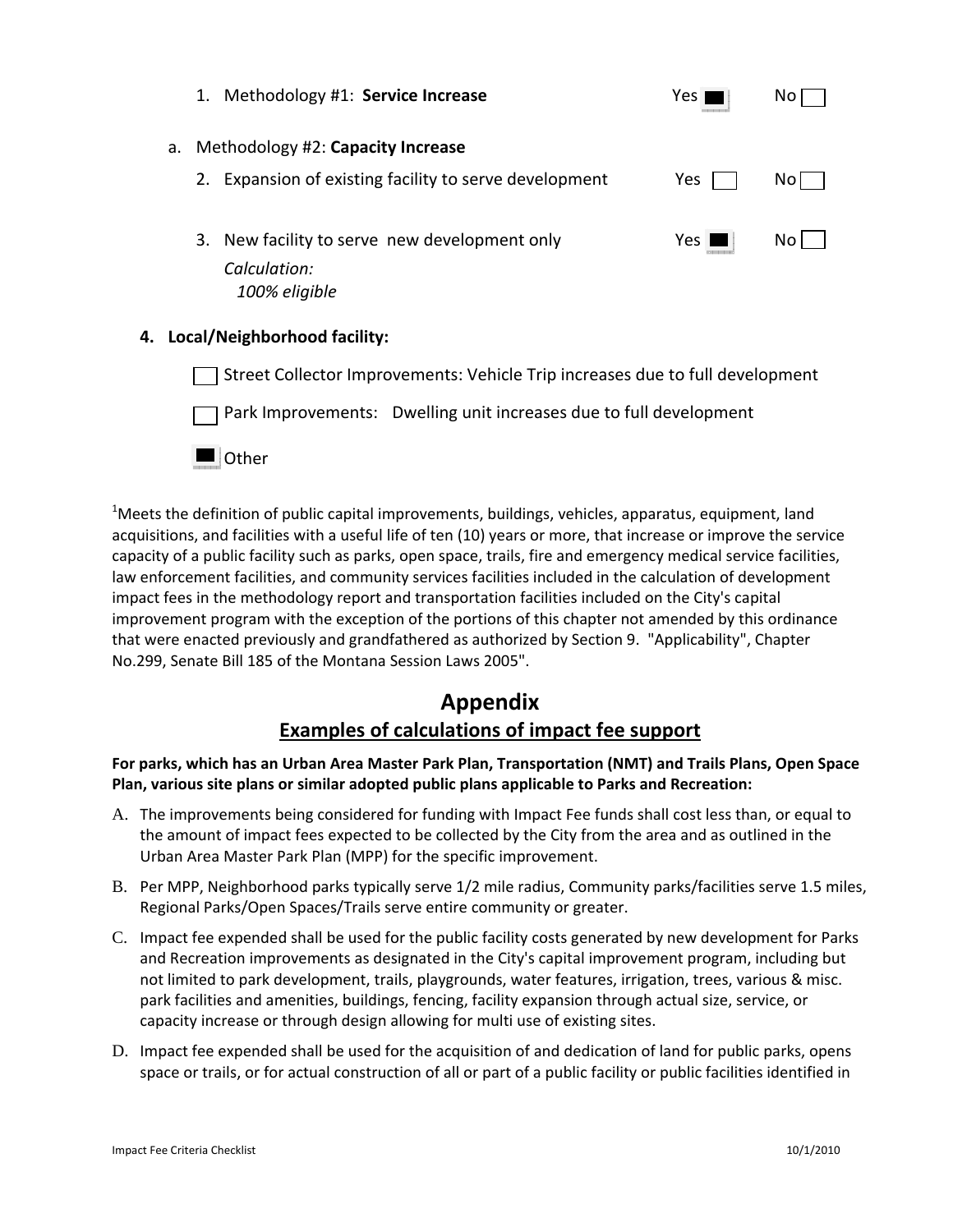|                                         | 1. | Methodology #1: Service Increase                                               | Yes   | No  |
|-----------------------------------------|----|--------------------------------------------------------------------------------|-------|-----|
| Methodology #2: Capacity Increase<br>а. |    |                                                                                |       |     |
|                                         |    | 2. Expansion of existing facility to serve development                         | Yes   | No. |
|                                         |    | 3. New facility to serve new development only<br>Calculation:<br>100% eligible | Yes I | Nο  |

### **4. Local/Neighborhood facility:**

Street Collector Improvements: Vehicle Trip increases due to full development Park Improvements: Dwelling unit increases due to full development **Other** 

 $^{1}$ Meets the definition of public capital improvements, buildings, vehicles, apparatus, equipment, land acquisitions, and facilities with a useful life of ten (10) years or more, that increase or improve the service capacity of a public facility such as parks, open space, trails, fire and emergency medical service facilities, law enforcement facilities, and community services facilities included in the calculation of development impact fees in the methodology report and transportation facilities included on the City's capital improvement program with the exception of the portions of this chapter not amended by this ordinance that were enacted previously and grandfathered as authorized by Section 9. "Applicability", Chapter No.299, Senate Bill 185 of the Montana Session Laws 2005".

# **Appendix**

## **Examples of calculations of impact fee support**

#### **For parks, which has an Urban Area Master Park Plan, Transportation (NMT) and Trails Plans, Open Space Plan, various site plans or similar adopted public plans applicable to Parks and Recreation:**

- A. The improvements being considered for funding with Impact Fee funds shall cost less than, or equal to the amount of impact fees expected to be collected by the City from the area and as outlined in the Urban Area Master Park Plan (MPP) for the specific improvement.
- B. Per MPP, Neighborhood parks typically serve 1/2 mile radius, Community parks/facilities serve 1.5 miles, Regional Parks/Open Spaces/Trails serve entire community or greater.
- C. Impact fee expended shall be used for the public facility costs generated by new development for Parks and Recreation improvements as designated in the City's capital improvement program, including but not limited to park development, trails, playgrounds, water features, irrigation, trees, various & misc. park facilities and amenities, buildings, fencing, facility expansion through actual size, service, or capacity increase or through design allowing for multi use of existing sites.
- D. Impact fee expended shall be used for the acquisition of and dedication of land for public parks, opens space or trails, or for actual construction of all or part of a public facility or public facilities identified in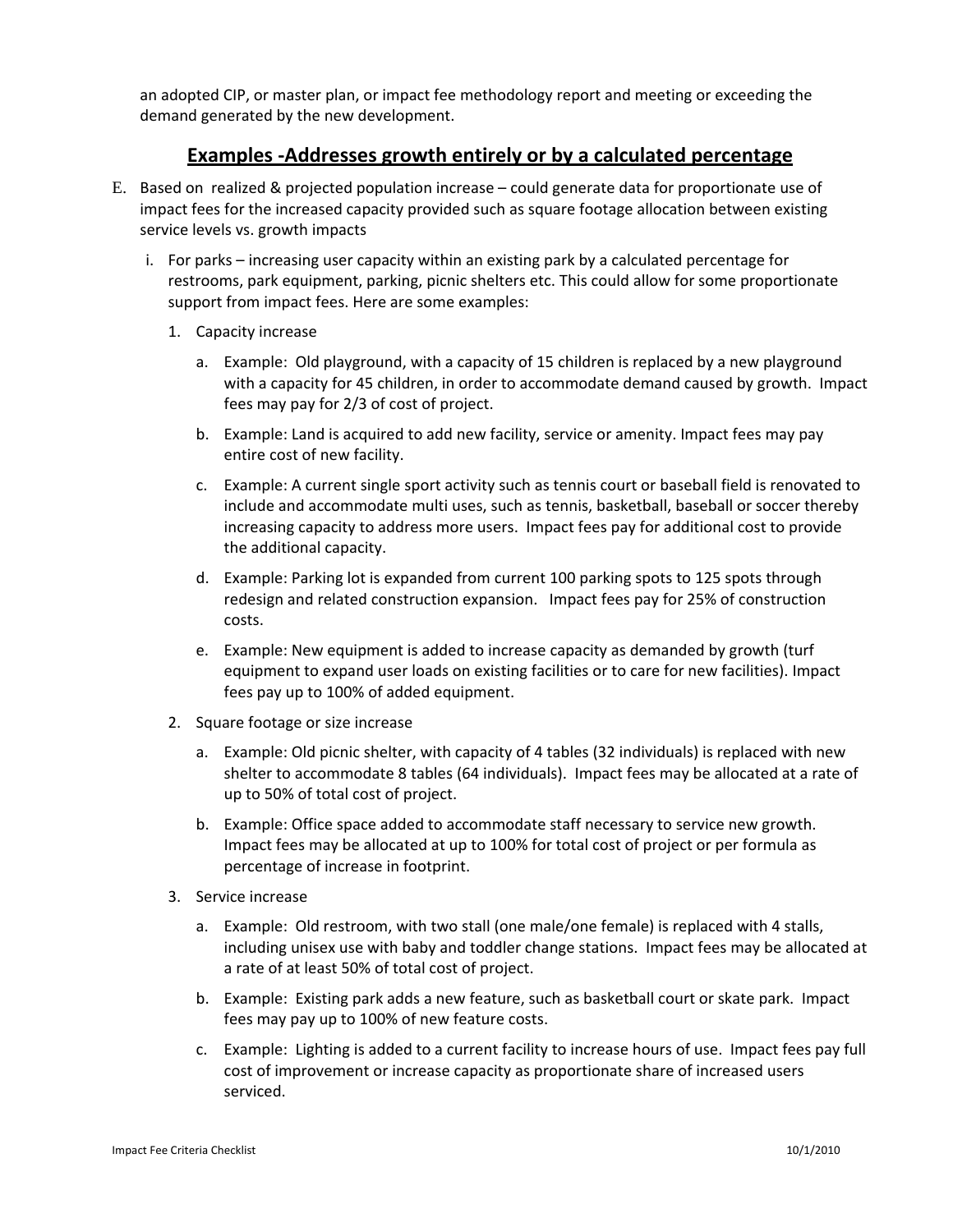an adopted CIP, or master plan, or impact fee methodology report and meeting or exceeding the demand generated by the new development.

### **Examples ‐Addresses growth entirely or by a calculated percentage**

- E. Based on realized & projected population increase could generate data for proportionate use of impact fees for the increased capacity provided such as square footage allocation between existing service levels vs. growth impacts
	- i. For parks increasing user capacity within an existing park by a calculated percentage for restrooms, park equipment, parking, picnic shelters etc. This could allow for some proportionate support from impact fees. Here are some examples:
		- 1. Capacity increase
			- a. Example: Old playground, with a capacity of 15 children is replaced by a new playground with a capacity for 45 children, in order to accommodate demand caused by growth. Impact fees may pay for 2/3 of cost of project.
			- b. Example: Land is acquired to add new facility, service or amenity. Impact fees may pay entire cost of new facility.
			- c. Example: A current single sport activity such as tennis court or baseball field is renovated to include and accommodate multi uses, such as tennis, basketball, baseball or soccer thereby increasing capacity to address more users. Impact fees pay for additional cost to provide the additional capacity.
			- d. Example: Parking lot is expanded from current 100 parking spots to 125 spots through redesign and related construction expansion. Impact fees pay for 25% of construction costs.
			- e. Example: New equipment is added to increase capacity as demanded by growth (turf equipment to expand user loads on existing facilities or to care for new facilities). Impact fees pay up to 100% of added equipment.
		- 2. Square footage or size increase
			- a. Example: Old picnic shelter, with capacity of 4 tables (32 individuals) is replaced with new shelter to accommodate 8 tables (64 individuals). Impact fees may be allocated at a rate of up to 50% of total cost of project.
			- b. Example: Office space added to accommodate staff necessary to service new growth. Impact fees may be allocated at up to 100% for total cost of project or per formula as percentage of increase in footprint.
		- 3. Service increase
			- a. Example: Old restroom, with two stall (one male/one female) is replaced with 4 stalls, including unisex use with baby and toddler change stations. Impact fees may be allocated at a rate of at least 50% of total cost of project.
			- b. Example: Existing park adds a new feature, such as basketball court or skate park. Impact fees may pay up to 100% of new feature costs.
			- c. Example: Lighting is added to a current facility to increase hours of use. Impact fees pay full cost of improvement or increase capacity as proportionate share of increased users serviced.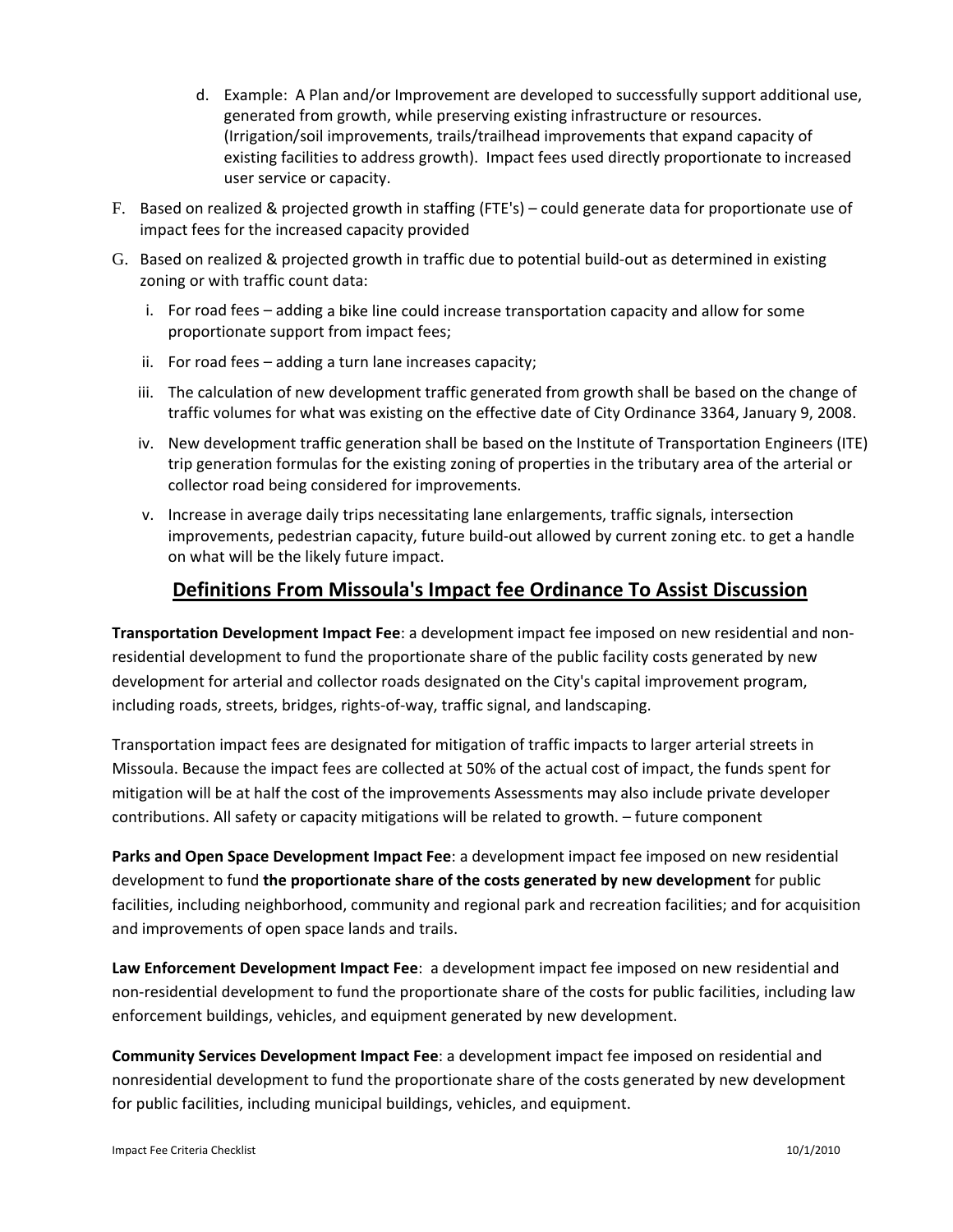- d. Example: A Plan and/or Improvement are developed to successfully support additional use, generated from growth, while preserving existing infrastructure or resources. (Irrigation/soil improvements, trails/trailhead improvements that expand capacity of existing facilities to address growth). Impact fees used directly proportionate to increased user service or capacity.
- F. Based on realized & projected growth in staffing (FTE's) could generate data for proportionate use of impact fees for the increased capacity provided
- G. Based on realized & projected growth in traffic due to potential build‐out as determined in existing zoning or with traffic count data:
	- i. For road fees adding a bike line could increase transportation capacity and allow for some proportionate support from impact fees;
	- ii. For road fees adding a turn lane increases capacity;
	- iii. The calculation of new development traffic generated from growth shall be based on the change of traffic volumes for what was existing on the effective date of City Ordinance 3364, January 9, 2008.
	- iv. New development traffic generation shall be based on the Institute of Transportation Engineers (ITE) trip generation formulas for the existing zoning of properties in the tributary area of the arterial or collector road being considered for improvements.
	- v. Increase in average daily trips necessitating lane enlargements, traffic signals, intersection improvements, pedestrian capacity, future build-out allowed by current zoning etc. to get a handle on what will be the likely future impact.

### **Definitions From Missoula's Impact fee Ordinance To Assist Discussion**

**Transportation Development Impact Fee**: a development impact fee imposed on new residential and non‐ residential development to fund the proportionate share of the public facility costs generated by new development for arterial and collector roads designated on the City's capital improvement program, including roads, streets, bridges, rights‐of‐way, traffic signal, and landscaping.

Transportation impact fees are designated for mitigation of traffic impacts to larger arterial streets in Missoula. Because the impact fees are collected at 50% of the actual cost of impact, the funds spent for mitigation will be at half the cost of the improvements Assessments may also include private developer contributions. All safety or capacity mitigations will be related to growth. – future component

**Parks and Open Space Development Impact Fee**: a development impact fee imposed on new residential development to fund **the proportionate share of the costs generated by new development** for public facilities, including neighborhood, community and regional park and recreation facilities; and for acquisition and improvements of open space lands and trails.

**Law Enforcement Development Impact Fee**: a development impact fee imposed on new residential and non‐residential development to fund the proportionate share of the costs for public facilities, including law enforcement buildings, vehicles, and equipment generated by new development.

**Community Services Development Impact Fee**: a development impact fee imposed on residential and nonresidential development to fund the proportionate share of the costs generated by new development for public facilities, including municipal buildings, vehicles, and equipment.